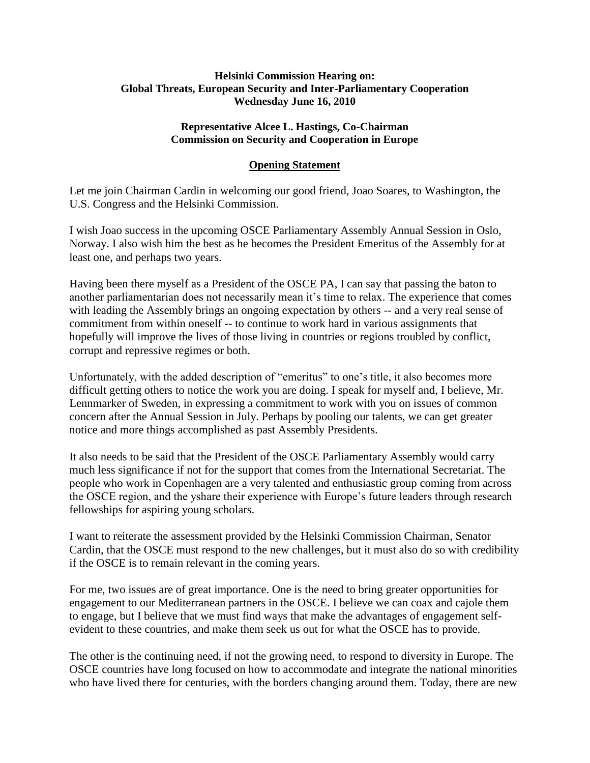## **Helsinki Commission Hearing on: Global Threats, European Security and Inter-Parliamentary Cooperation Wednesday June 16, 2010**

## **Representative Alcee L. Hastings, Co-Chairman Commission on Security and Cooperation in Europe**

## **Opening Statement**

Let me join Chairman Cardin in welcoming our good friend, Joao Soares, to Washington, the U.S. Congress and the Helsinki Commission.

I wish Joao success in the upcoming OSCE Parliamentary Assembly Annual Session in Oslo, Norway. I also wish him the best as he becomes the President Emeritus of the Assembly for at least one, and perhaps two years.

Having been there myself as a President of the OSCE PA, I can say that passing the baton to another parliamentarian does not necessarily mean it's time to relax. The experience that comes with leading the Assembly brings an ongoing expectation by others -- and a very real sense of commitment from within oneself -- to continue to work hard in various assignments that hopefully will improve the lives of those living in countries or regions troubled by conflict, corrupt and repressive regimes or both.

Unfortunately, with the added description of "emeritus" to one's title, it also becomes more difficult getting others to notice the work you are doing. I speak for myself and, I believe, Mr. Lennmarker of Sweden, in expressing a commitment to work with you on issues of common concern after the Annual Session in July. Perhaps by pooling our talents, we can get greater notice and more things accomplished as past Assembly Presidents.

It also needs to be said that the President of the OSCE Parliamentary Assembly would carry much less significance if not for the support that comes from the International Secretariat. The people who work in Copenhagen are a very talented and enthusiastic group coming from across the OSCE region, and the yshare their experience with Europe's future leaders through research fellowships for aspiring young scholars.

I want to reiterate the assessment provided by the Helsinki Commission Chairman, Senator Cardin, that the OSCE must respond to the new challenges, but it must also do so with credibility if the OSCE is to remain relevant in the coming years.

For me, two issues are of great importance. One is the need to bring greater opportunities for engagement to our Mediterranean partners in the OSCE. I believe we can coax and cajole them to engage, but I believe that we must find ways that make the advantages of engagement selfevident to these countries, and make them seek us out for what the OSCE has to provide.

The other is the continuing need, if not the growing need, to respond to diversity in Europe. The OSCE countries have long focused on how to accommodate and integrate the national minorities who have lived there for centuries, with the borders changing around them. Today, there are new